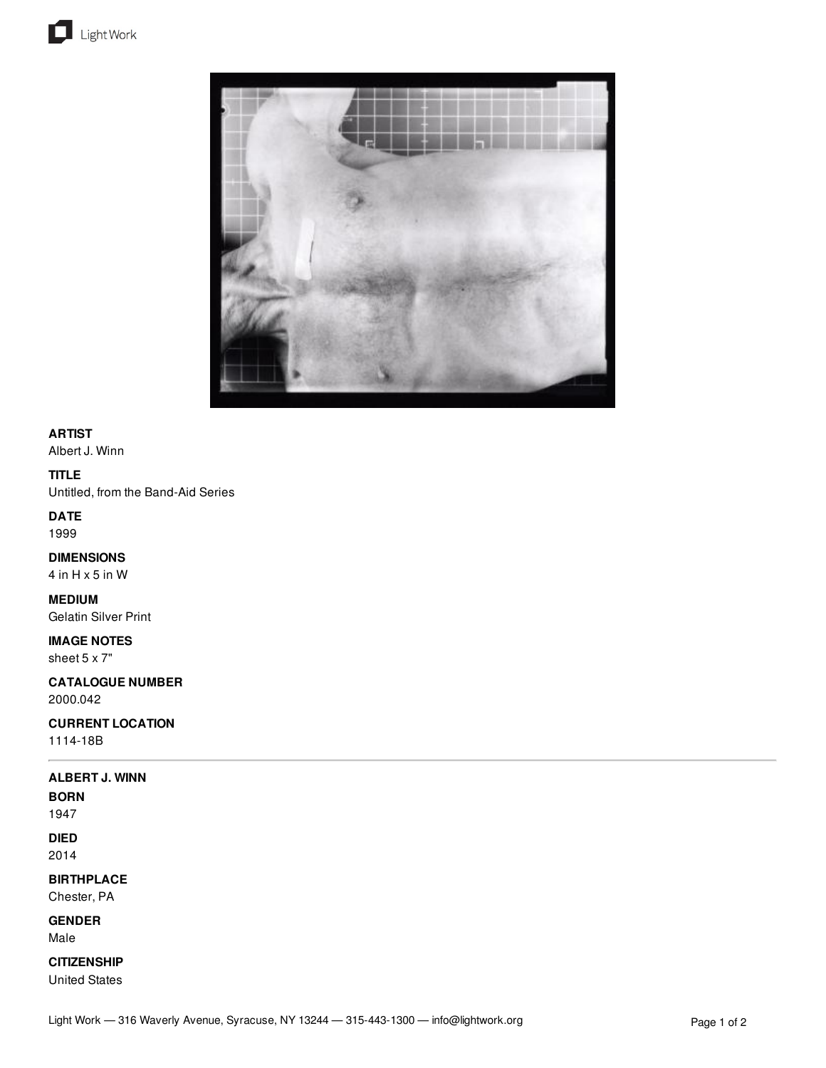



# **ARTIST**

Albert J. Winn

### **TITLE**

Untitled, from the Band-Aid Series

## **DATE**

1999

# **DIMENSIONS**

4 in H x 5 in W

### **MEDIUM**

Gelatin Silver Print

# **IMAGE NOTES**

sheet 5 x 7"

### **CATALOGUE NUMBER** 2000.042

# **CURRENT LOCATION**

1114-18B

### **ALBERT J. WINN**

**BORN**

1947

# **DIED**

2014

## **BIRTHPLACE**

Chester, PA

# **GENDER**

Male

# **CITIZENSHIP**

United States